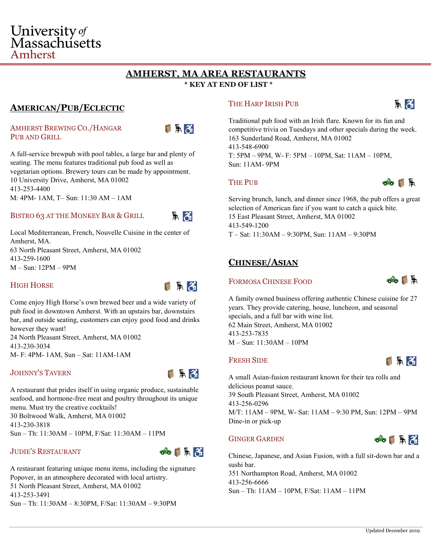# University of Massachusetts Amherst

# **AMHERST, MA AREA RESTAURANTS**

**\* KEY AT END OF LIST \*** 

## **AMERICAN/PUB/ECLECTIC**

## AMHERST BREWING CO./HANGAR PUB AND GRILL



A full-service brewpub with pool tables, a large bar and plenty of seating. The menu features traditional pub food as well as vegetarian options. Brewery tours can be made by appointment. 10 University Drive, Amherst, MA 01002 413-253-4400 M: 4PM- 1AM, T– Sun: 11:30 AM – 1AM

## BISTRO 63 AT THE MONKEY BAR & GRILL



Local Mediterranean, French, Nouvelle Cuisine in the center of Amherst, MA. 63 North Pleasant Street, Amherst, MA 01002 413-259-1600 M – Sun: 12PM – 9PM

## HIGH HORSE



Come enjoy High Horse's own brewed beer and a wide variety of pub food in downtown Amherst. With an upstairs bar, downstairs bar, and outside seating, customers can enjoy good food and drinks however they want!

24 North Pleasant Street, Amherst, MA 01002 413-230-3034 M- F: 4PM- 1AM, Sun – Sat: 11AM-1AM

## JOHNNY'S TAVERN



A restaurant that prides itself in using organic produce, sustainable seafood, and hormone-free meat and poultry throughout its unique menu. Must try the creative cocktails! 30 Boltwood Walk, Amherst, MA 01002 413-230-3818 Sun – Th: 11:30AM – 10PM, F/Sat: 11:30AM – 11PM

## JUDIE'S RESTAURANT



A restaurant featuring unique menu items, including the signature Popover, in an atmosphere decorated with local artistry. 51 North Pleasant Street, Amherst, MA 01002 413-253-3491 Sun – Th: 11:30AM – 8:30PM, F/Sat: 11:30AM – 9:30PM

## THE HARP IRISH PUB



Traditional pub food with an Irish flare. Known for its fun and competitive trivia on Tuesdays and other specials during the week. 163 Sunderland Road, Amherst, MA 01002 413-548-6900

T: 5PM – 9PM, W- F: 5PM – 10PM, Sat: 11AM – 10PM, Sun: 11AM- 9PM

## THE PUB



Serving brunch, lunch, and dinner since 1968, the pub offers a great selection of American fare if you want to catch a quick bite. 15 East Pleasant Street, Amherst, MA 01002 413-549-1200 T – Sat: 11:30AM – 9:30PM, Sun: 11AM – 9:30PM

## **CHINESE/ASIAN**

## FORMOSA CHINESE FOOD



A family owned business offering authentic Chinese cuisine for 27 years. They provide catering, house, luncheon, and seasonal specials, and a full bar with wine list. 62 Main Street, Amherst, MA 01002 413-253-7835 M – Sun: 11:30AM – 10PM

## FRESH SIDE



A small Asian-fusion restaurant known for their tea rolls and delicious peanut sauce. 39 South Pleasant Street, Amherst, MA 01002 413-256-0296 M/T: 11AM – 9PM, W- Sat: 11AM – 9:30 PM, Sun: 12PM – 9PM Dine-in or pick-up

## GINGER GARDEN



Chinese, Japanese, and Asian Fusion, with a full sit-down bar and a sushi bar. 351 Northampton Road, Amherst, MA 01002 413-256-6666

Sun – Th: 11AM – 10PM, F/Sat: 11AM – 11PM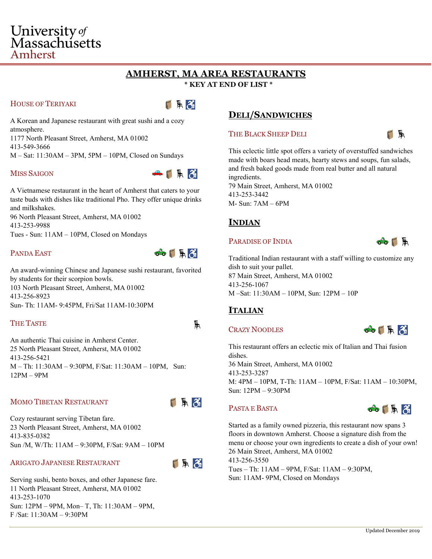# University of Massachusetts Amherst

## **AMHERST, MA AREA RESTAURANTS**

**\* KEY AT END OF LIST \*** 

## HOUSE OF TERIYAKI

FR3

A Korean and Japanese restaurant with great sushi and a cozy atmosphere.

1177 North Pleasant Street, Amherst, MA 01002 413-549-3666 M – Sat: 11:30AM – 3PM, 5PM – 10PM, Closed on Sundays

#### MISS SAIGON



A Vietnamese restaurant in the heart of Amherst that caters to your taste buds with dishes like traditional Pho. They offer unique drinks and milkshakes. 96 North Pleasant Street, Amherst, MA 01002

413-253-9988 Tues - Sun: 11AM – 10PM, Closed on Mondays

## PANDA EAST



An award-winning Chinese and Japanese sushi restaurant, favorited by students for their scorpion bowls. 103 North Pleasant Street, Amherst, MA 01002 413-256-8923 Sun- Th: 11AM- 9:45PM, Fri/Sat 11AM-10:30PM

## THE TASTE

An authentic Thai cuisine in Amherst Center. 25 North Pleasant Street, Amherst, MA 01002 413-256-5421 M – Th: 11:30AM – 9:30PM, F/Sat: 11:30AM – 10PM, Sun: 12PM – 9PM

## MOMO TIBETAN RESTAURANT



凲

Cozy restaurant serving Tibetan fare. 23 North Pleasant Street, Amherst, MA 01002 413-835-0382 Sun /M, W/Th: 11AM – 9:30PM, F/Sat: 9AM – 10PM

## ARIGATO JAPANESE RESTAURANT



Serving sushi, bento boxes, and other Japanese fare. 11 North Pleasant Street, Amherst, MA 01002 413-253-1070 Sun: 12PM – 9PM, Mon– T, Th: 11:30AM – 9PM, F /Sat: 11:30AM – 9:30PM

## **DELI/SANDWICHES**

#### THE BLACK SHEEP DELI

H

This eclectic little spot offers a variety of overstuffed sandwiches made with boars head meats, hearty stews and soups, fun salads, and fresh baked goods made from real butter and all natural ingredients.

79 Main Street, Amherst, MA 01002 413-253-3442 M- Sun: 7AM – 6PM

## **INDIAN**

#### PARADISE OF INDIA



Traditional Indian restaurant with a staff willing to customize any dish to suit your pallet. 87 Main Street, Amherst, MA 01002 413-256-1067 M –Sat: 11:30AM – 10PM, Sun: 12PM – 10P

## **ITALIAN**

## CRAZY NOODLES

 $\odot$   $\Box$   $\odot$ 

This restaurant offers an eclectic mix of Italian and Thai fusion dishes. 36 Main Street, Amherst, MA 01002 413-253-3287 M: 4PM – 10PM, T-Th: 11AM – 10PM, F/Sat: 11AM – 10:30PM, Sun: 12PM – 9:30PM

## PASTA E BASTA



Started as a family owned pizzeria, this restaurant now spans 3 floors in downtown Amherst. Choose a signature dish from the menu or choose your own ingredients to create a dish of your own! 26 Main Street, Amherst, MA 01002 413-256-3550

Tues – Th: 11AM – 9PM, F/Sat: 11AM – 9:30PM, Sun: 11AM- 9PM, Closed on Mondays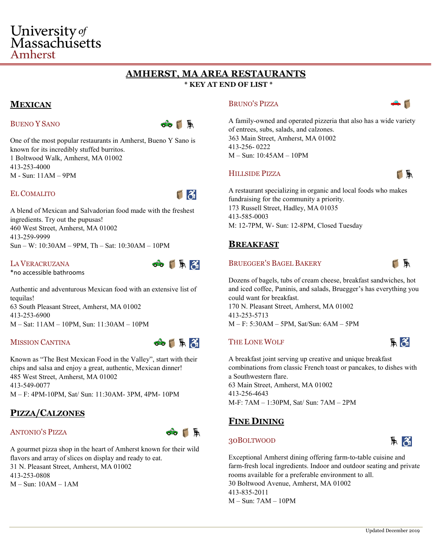# **AMHERST, MA AREA RESTAURANTS**

## **\* KEY AT END OF LIST \***

## **MEXICAN**

Amherst

## BUENO Y SANO

University of Massachusetts



One of the most popular restaurants in Amherst, Bueno Y Sano is known for its incredibly stuffed burritos. 1 Boltwood Walk, Amherst, MA 01002 413-253-4000 M - Sun: 11AM – 9PM

#### EL COMALITO

F 3

A blend of Mexican and Salvadorian food made with the freshest ingredients. Try out the pupusas! 460 West Street, Amherst, MA 01002 413-259-9999 Sun – W: 10:30AM – 9PM, Th – Sat: 10:30AM – 10PM

#### LA VERACRUZANA

\*no accessible bathrooms

Authentic and adventurous Mexican food with an extensive list of tequilas! 63 South Pleasant Street, Amherst, MA 01002 413-253-6900 M – Sat: 11AM – 10PM, Sun: 11:30AM – 10PM

## MISSION CANTINA



**COLAR** 

Known as "The Best Mexican Food in the Valley", start with their chips and salsa and enjoy a great, authentic, Mexican dinner! 485 West Street, Amherst, MA 01002 413-549-0077 M – F: 4PM-10PM, Sat/ Sun: 11:30AM- 3PM, 4PM- 10PM

## **PIZZA/CALZONES**

#### ANTONIO'S PIZZA



A gourmet pizza shop in the heart of Amherst known for their wild flavors and array of slices on display and ready to eat. 31 N. Pleasant Street, Amherst, MA 01002 413-253-0808 M – Sun: 10AM – 1AM

#### BRUNO'S PIZZA



A family-owned and operated pizzeria that also has a wide variety of entrees, subs, salads, and calzones. 363 Main Street, Amherst, MA 01002 413-256- 0222 M – Sun: 10:45AM – 10PM

#### HILLSIDE PIZZA

TH

A restaurant specializing in organic and local foods who makes fundraising for the community a priority. 173 Russell Street, Hadley, MA 01035 413-585-0003 M: 12-7PM, W- Sun: 12-8PM, Closed Tuesday

## **BREAKFAST**

#### BRUEGGER'S BAGEL BAKERY



みる

 $\parallel$   $\parallel$ 

Dozens of bagels, tubs of cream cheese, breakfast sandwiches, hot and iced coffee, Paninis, and salads, Bruegger's has everything you could want for breakfast.

170 N. Pleasant Street, Amherst, MA 01002 413-253-5713 M – F: 5:30AM – 5PM, Sat/Sun: 6AM – 5PM

## THE LONE WOLF

A breakfast joint serving up creative and unique breakfast combinations from classic French toast or pancakes, to dishes with a Southwestern flare. 63 Main Street, Amherst, MA 01002 413-256-4643 M-F: 7AM – 1:30PM, Sat/ Sun: 7AM – 2PM

## **FINE DINING**

## 30BOLTWOOD

Exceptional Amherst dining offering farm-to-table cuisine and farm-fresh local ingredients. Indoor and outdoor seating and private rooms available for a preferable environment to all. 30 Boltwood Avenue, Amherst, MA 01002 413-835-2011 M – Sun: 7AM – 10PM